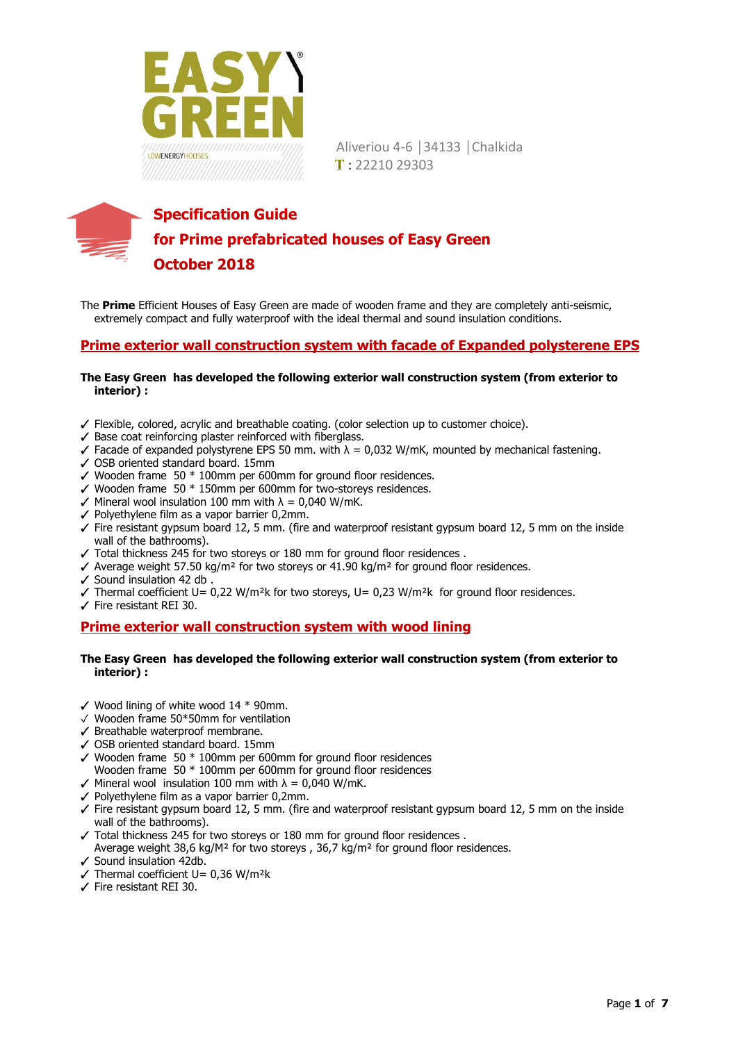



The **Prime** Efficient Houses of Easy Green are made of wooden frame and they are completely anti-seismic, extremely compact and fully waterproof with the ideal thermal and sound insulation conditions.

## **Prime exterior wall construction system with facade of Expanded polysterene EPS**

### **The Easy Green has developed the following exterior wall construction system (from exterior to interior) :**

- ✓ Flexible, colored, acrylic and breathable coating. (color selection up to customer choice).
- ✓ Base coat reinforcing plaster reinforced with fiberglass.
- $\checkmark$  Facade of expanded polystyrene EPS 50 mm. with  $\lambda = 0.032$  W/mK, mounted by mechanical fastening.
- ✓ OSB oriented standard board. 15mm
- $\checkmark$  Wooden frame 50  $*$  100mm per 600mm for ground floor residences.
- $\checkmark$  Wooden frame 50  $*$  150mm per 600mm for two-storeys residences.
- $\checkmark$  Mineral wool insulation 100 mm with  $\lambda = 0.040$  W/mK.
- ✓ Polyethylene film as a vapor barrier 0,2mm.
- ✓ Fire resistant gypsum board 12, 5 mm. (fire and waterproof resistant gypsum board 12, 5 mm on the inside wall of the bathrooms).
- ✓ Total thickness 245 for two storeys or 180 mm for ground floor residences .
- $✓$  Average weight 57.50 kg/m<sup>2</sup> for two storeys or 41.90 kg/m<sup>2</sup> for ground floor residences.
- ✓ Sound insulation 42 db .
- $\checkmark$  Thermal coefficient U= 0,22 W/m<sup>2</sup>k for two storeys, U= 0,23 W/m<sup>2</sup>k for ground floor residences.
- ✓ Fire resistant REI 30.

### **Prime exterior wall construction system with wood lining**

#### **The Easy Green has developed the following exterior wall construction system (from exterior to interior) :**

- $\checkmark$  Wood lining of white wood 14  $*$  90mm.
- ✓ Wooden frame 50\*50mm for ventilation
- ✓ Breathable waterproof membrane.
- ✓ OSB oriented standard board. 15mm
- $\checkmark$  Wooden frame 50  $*$  100mm per 600mm for ground floor residences Wooden frame 50 \* 100mm per 600mm for ground floor residences
- $\checkmark$  Mineral wool insulation 100 mm with  $\lambda = 0.040$  W/mK.
- ✓ Polyethylene film as a vapor barrier 0,2mm.
- $\checkmark$  Fire resistant gypsum board 12, 5 mm. (fire and waterproof resistant gypsum board 12, 5 mm on the inside wall of the bathrooms).
- ✓ Total thickness 245 for two storeys or 180 mm for ground floor residences .
- Average weight 38,6 kg/M² for two storeys , 36,7 kg/m² for ground floor residences. Sound insulation 42db.
- $\sqrt{\text{Thermal coefficient U}} = 0.36 \text{ W/m}^2\text{k}$
- ✓ Fire resistant REI 30.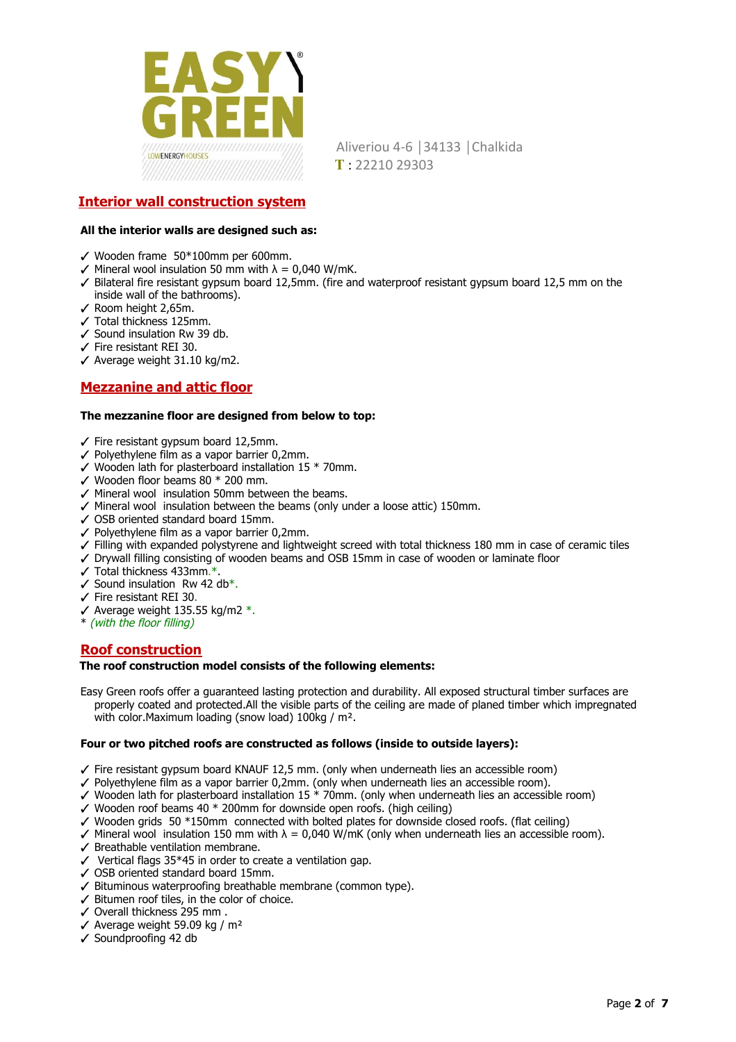

## **Interior wall construction system**

### **All the interior walls are designed such as:**

- ✓ Wooden frame 50\*100mm per 600mm.
- $\checkmark$  Mineral wool insulation 50 mm with  $\lambda = 0.040$  W/mK.
- ✓ Bilateral fire resistant gypsum board 12,5mm. (fire and waterproof resistant gypsum board 12,5 mm on the inside wall of the bathrooms).
- ✓ Room height 2,65m.
- ✓ Total thickness 125mm.
- ✓ Sound insulation Rw 39 db.
- ✓ Fire resistant REI 30.
- ✓ Average weight 31.10 kg/m2.

## **Mezzanine and attic floor**

#### **The mezzanine floor are designed from below to top:**

- ✓ Fire resistant gypsum board 12,5mm.
- ✓ Polyethylene film as a vapor barrier 0,2mm.
- $\checkmark$  Wooden lath for plasterboard installation 15  $*$  70mm.
- $\checkmark$  Wooden floor beams 80  $*$  200 mm.
- ✓ Mineral wool insulation 50mm between the beams.
- ✓ Mineral wool insulation between the beams (only under a loose attic) 150mm.
- ✓ OSB oriented standard board 15mm.
- ✓ Polyethylene film as a vapor barrier 0,2mm.
- ✓ Filling with expanded polystyrene and lightweight screed with total thickness 180 mm in case of ceramic tiles
- ✓ Drywall filling consisting of wooden beams and OSB 15mm in case of wooden or laminate floor
- $\checkmark$  Total thickness 433mm.\*.
- $\checkmark$  Sound insulation Rw 42 db\*.
- ✓ Fire resistant REI 30 .
- $\checkmark$  Average weight 135.55 kg/m2  $^*$ .
- \* (with the floor filling)

### **Roof construction**

#### **The roof construction model consists of the following elements:**

Easy Green roofs offer a guaranteed lasting protection and durability. All exposed structural timber surfaces are properly coated and protected.All the visible parts of the ceiling are made of planed timber which impregnated with color. Maximum loading (snow load) 100kg / m<sup>2</sup>.

#### **Four or two pitched roofs are constructed as follows (inside to outside layers):**

- ✓ Fire resistant gypsum board KNAUF 12,5 mm. (only when underneath lies an accessible room)
- ✓ Polyethylene film as a vapor barrier 0,2mm. (only when underneath lies an accessible room).
- ✓ Wooden lath for plasterboard installation 15 \* 70mm. (only when underneath lies an accessible room)
- $\checkmark$  Wooden roof beams 40  $*$  200mm for downside open roofs. (high ceiling)
- ✓ Wooden grids 50 \*150mm connected with bolted plates for downside closed roofs. (flat ceiling)
- $\checkmark$  Mineral wool insulation 150 mm with  $\lambda = 0.040$  W/mK (only when underneath lies an accessible room).
- ✓ Breathable ventilation membrane.
- ✓ Vertical flags 35\*45 in order to create a ventilation gap.
- ✓ OSB oriented standard board 15mm.
- ✓ Bituminous waterproofing breathable membrane (common type).
- ✓ Bitumen roof tiles, in the color of choice.
- ✓ Overall thickness 295 mm .
- $\checkmark$  Average weight 59.09 kg / m<sup>2</sup>
- ✓ Soundproofing 42 db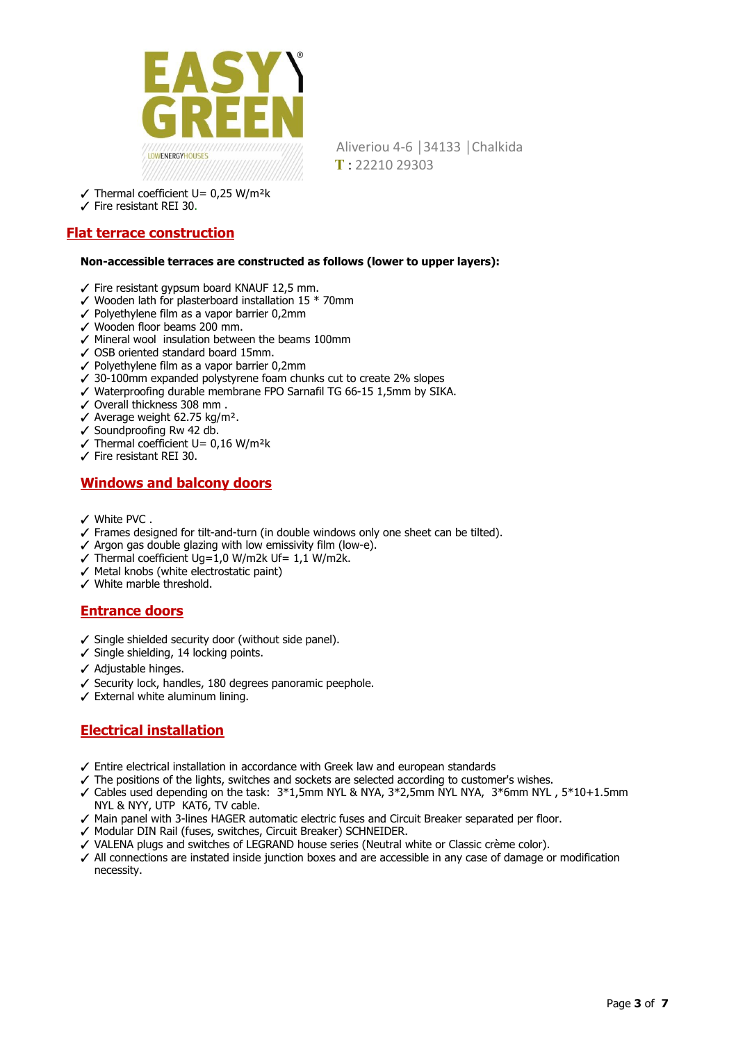

- $\checkmark$  Thermal coefficient U= 0,25 W/m<sup>2</sup>k
- ✓ Fire resistant REI 30 .

## **Flat terrace construction**

#### **Non-accessible terraces are constructed as follows (lower to upper layers):**

- ✓ Fire resistant gypsum board KNAUF 12,5 mm.
- ✓ Wooden lath for plasterboard installation 15 \* 70mm
- ✓ Polyethylene film as a vapor barrier 0,2mm
- ✓ Wooden floor beams 200 mm.
- ✓ Mineral wool insulation between the beams 100mm
- ✓ OSB oriented standard board 15mm.
- ✓ Polyethylene film as a vapor barrier 0,2mm
- ✓ 30-100mm expanded polystyrene foam chunks cut to create 2% slopes
- ✓ Waterproofing durable membrane FPO Sarnafil TG 66-15 1,5mm by SIKA.
- ✓ Overall thickness 308 mm .
- ✓ Average weight 62.75 kg/m².
- ✓ Soundproofing Rw 42 db.
- $\sqrt{\ }$  Thermal coefficient U= 0,16 W/m<sup>2</sup>k
- ✓ Fire resistant REI 30.

## **Windows and balcony doors**

- ✓ White PVC .
- ✓ Frames designed for tilt-and-turn (in double windows only one sheet can be tilted).
- ✓ Αrgon gas double glazing with low emissivity film (low-e).
- $\checkmark$  Thermal coefficient Ug=1,0 W/m2k Uf= 1,1 W/m2k.
- ✓ Metal knobs (white electrostatic paint)
- ✓ White marble threshold.

## **Entrance doors**

- ✓ Single shielded security door (without side panel).
- ✓ Single shielding, 14 locking points.
- ✓ Adjustable hinges.
- ✓ Security lock, handles, 180 degrees panoramic peephole.
- $\checkmark$  External white aluminum lining.

# **Electrical installation**

- ✓ Entire electrical installation in accordance with Greek law and european standards
- ✓ The positions of the lights, switches and sockets are selected according to customer's wishes.
- ✓ Cables used depending on the task: 3\*1,5mm NYL & NYA, 3\*2,5mm NYL NYA, 3\*6mm NYL , 5\*10+1.5mm NYL & NYY, UTP KAT6, TV cable.
- ✓ Main panel with 3-lines HAGER automatic electric fuses and Circuit Breaker separated per floor.
- ✓ Modular DIN Rail (fuses, switches, Circuit Breaker) SCHNEIDER.
- ✓ VALENA plugs and switches of LEGRAND house series (Neutral white or Classic crème color).
- ✓ All connections are instated inside junction boxes and are accessible in any case of damage or modification necessity.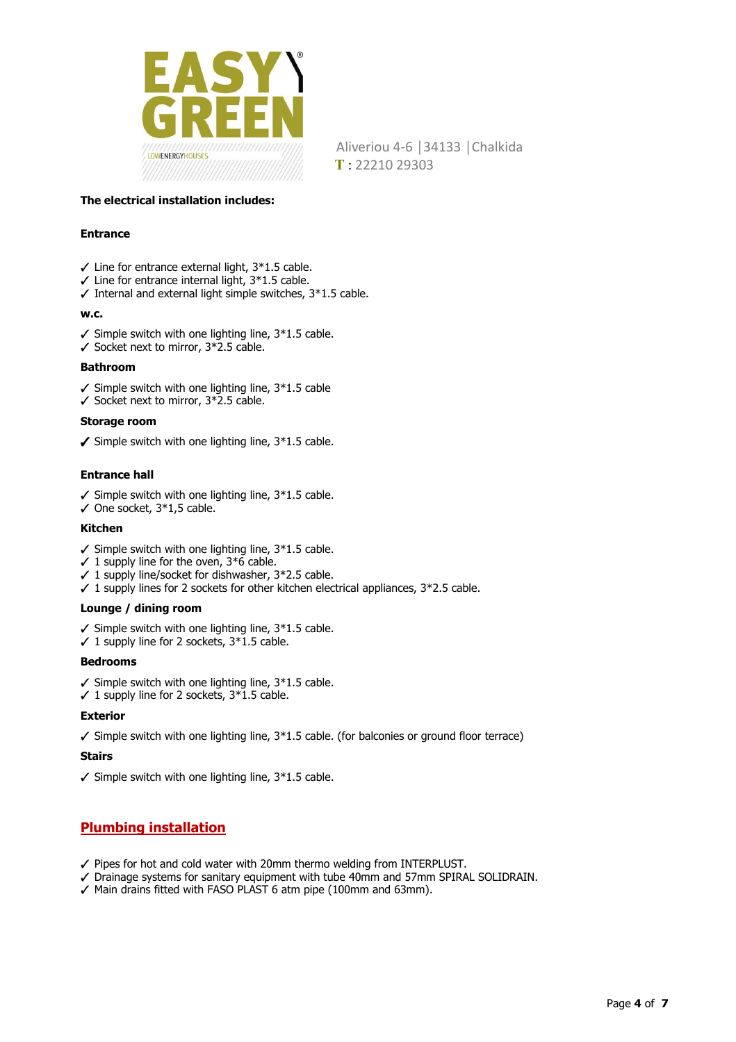

### **The electrical installation includes:**

### **Entrance**

- $\checkmark$  Line for entrance external light,  $3*1.5$  cable.
- $\checkmark$  Line for entrance internal light,  $3*1.5$  cable.
- $\checkmark$  Internal and external light simple switches,  $3*1.5$  cable.

### **w.c.**

- $\checkmark$  Simple switch with one lighting line, 3\*1.5 cable.
- ✓ Socket next to mirror, 3\*2.5 cable.

### **Bathroom**

- $\checkmark$  Simple switch with one lighting line, 3\*1.5 cable
- ✓ Socket next to mirror, 3\*2.5 cable.

### **Storage room**

 $✓$  Simple switch with one lighting line,  $3*1.5$  cable.

### **Entrance hall**

- $\checkmark$  Simple switch with one lighting line, 3\*1.5 cable.
- $\checkmark$  One socket, 3\*1,5 cable.

### **Kitchen**

- $\checkmark$  Simple switch with one lighting line,  $3*1.5$  cable.
- $\checkmark$  1 supply line for the oven, 3\*6 cable.
- $\checkmark$  1 supply line/socket for dishwasher, 3\*2.5 cable.
- $\checkmark$  1 supply lines for 2 sockets for other kitchen electrical appliances,  $3*2.5$  cable.

### **Lounge / dining room**

- $\checkmark$  Simple switch with one lighting line,  $3*1.5$  cable.
- $\checkmark$  1 supply line for 2 sockets,  $3*1.5$  cable.

### **Bedrooms**

- $\checkmark$  Simple switch with one lighting line,  $3*1.5$  cable.
- $\checkmark$  1 supply line for 2 sockets,  $3*1.5$  cable.

### **Exterior**

 $\checkmark$  Simple switch with one lighting line, 3\*1.5 cable. (for balconies or ground floor terrace)

### **Stairs**

 $\checkmark$  Simple switch with one lighting line,  $3*1.5$  cable.

## **Plumbing installation**

- ✓ Pipes for hot and cold water with 20mm thermo welding from INTERPLUST.
- ✓ Drainage systems for sanitary equipment with tube 40mm and 57mm SPIRAL SOLIDRAIN.
- ✓ Main drains fitted with FASO PLAST 6 atm pipe (100mm and 63mm).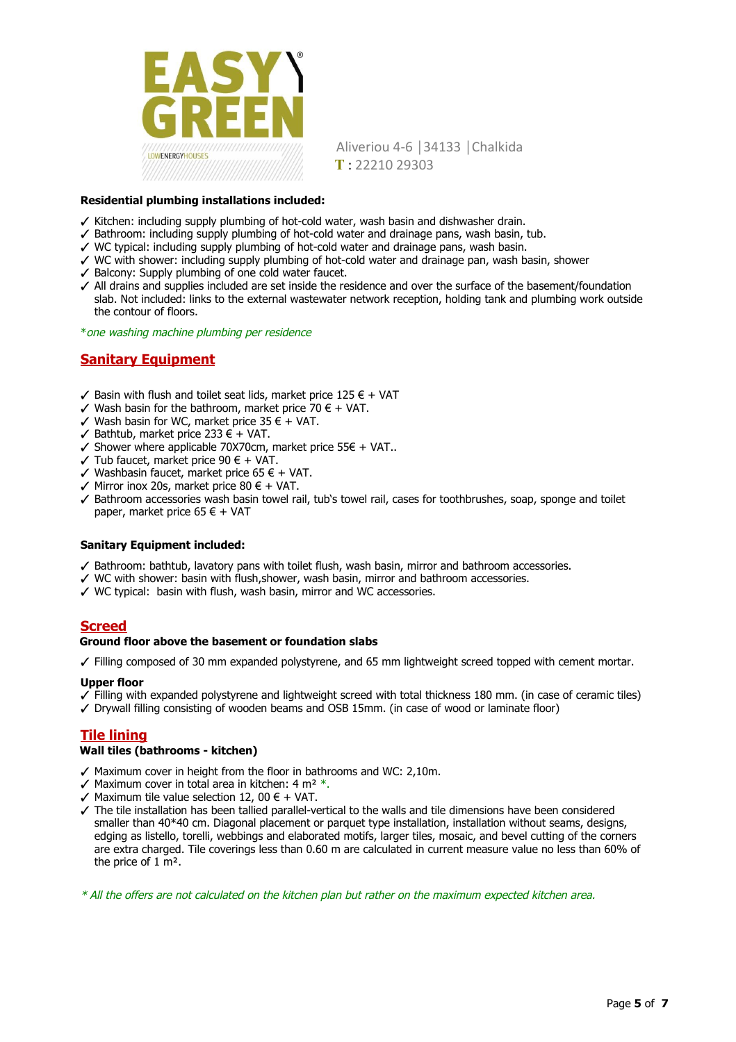

### **Residential plumbing installations included:**

- ✓ Kitchen: including supply plumbing of hot-cold water, wash basin and dishwasher drain.
- ✓ Bathroom: including supply plumbing of hot-cold water and drainage pans, wash basin, tub.
- ✓ WC typical: including supply plumbing of hot-cold water and drainage pans, wash basin.
- ✓ WC with shower: including supply plumbing of hot-cold water and drainage pan, wash basin, shower
- ✓ Balcony: Supply plumbing of one cold water faucet.
- ✓ All drains and supplies included are set inside the residence and over the surface of the basement/foundation slab. Not included: links to the external wastewater network reception, holding tank and plumbing work outside the contour of floors.
- \* one washing machine plumbing per residence

# **Sanitary Equipment**

- $\checkmark$  Basin with flush and toilet seat lids, market price 125 € + VAT
- $✓$  Wash basin for the bathroom, market price 70 € + VAT.
- $✓$  Wash basin for WC, market price 35 € + VAT.
- ✓ Bathtub, market price 233 € + VAT.
- $\checkmark$  Shower where applicable 70X70cm, market price 55€ + VAT..
- $\checkmark$  Tub faucet, market price 90  $\in$  + VAT.
- ✓ Washbasin faucet, market price 65 € + VAT.
- $✓$  Mirror inox 20s, market price 80 € + VAT.
- ✓ Bathroom accessories wash basin towel rail, tub's towel rail, cases for toothbrushes, soap, sponge and toilet paper, market price 65  $\epsilon$  + VAT

### **Sanitary Equipment included:**

- ✓ Bathroom: bathtub, lavatory pans with toilet flush, wash basin, mirror and bathroom accessories.
- ✓ WC with shower: basin with flush,shower, wash basin, mirror and bathroom accessories.
- ✓ WC typical: basin with flush, wash basin, mirror and WC accessories.

## **Screed**

#### **Ground floor above the basement or foundation slabs**

✓ Filling composed of 30 mm expanded polystyrene, and 65 mm lightweight screed topped with cement mortar.

### **Upper floor**

- ✓ Filling with expanded polystyrene and lightweight screed with total thickness 180 mm. (in case of ceramic tiles)
- ✓ Drywall filling consisting of wooden beams and OSB 15mm. (in case of wood or laminate floor)

## **Tile lining**

#### **Wall tiles (bathrooms - kitchen)**

- ✓ Maximum cover in height from the floor in bathrooms and WC: 2,10m.
- $\sqrt{ }$  Maximum cover in total area in kitchen: 4 m<sup>2</sup>  $*$ .
- $✓$  Maximum tile value selection 12, 00 € + VAT.
- ✓ The tile installation has been tallied parallel-vertical to the walls and tile dimensions have been considered smaller than 40\*40 cm. Diagonal placement or parquet type installation, installation without seams, designs, edging as listello, torelli, webbings and elaborated motifs, larger tiles, mosaic, and bevel cutting of the corners are extra charged. Tile coverings less than 0.60 m are calculated in current measure value no less than 60% of the price of 1 m².

\* All the offers are not calculated on the kitchen plan but rather on the maximum expected kitchen area.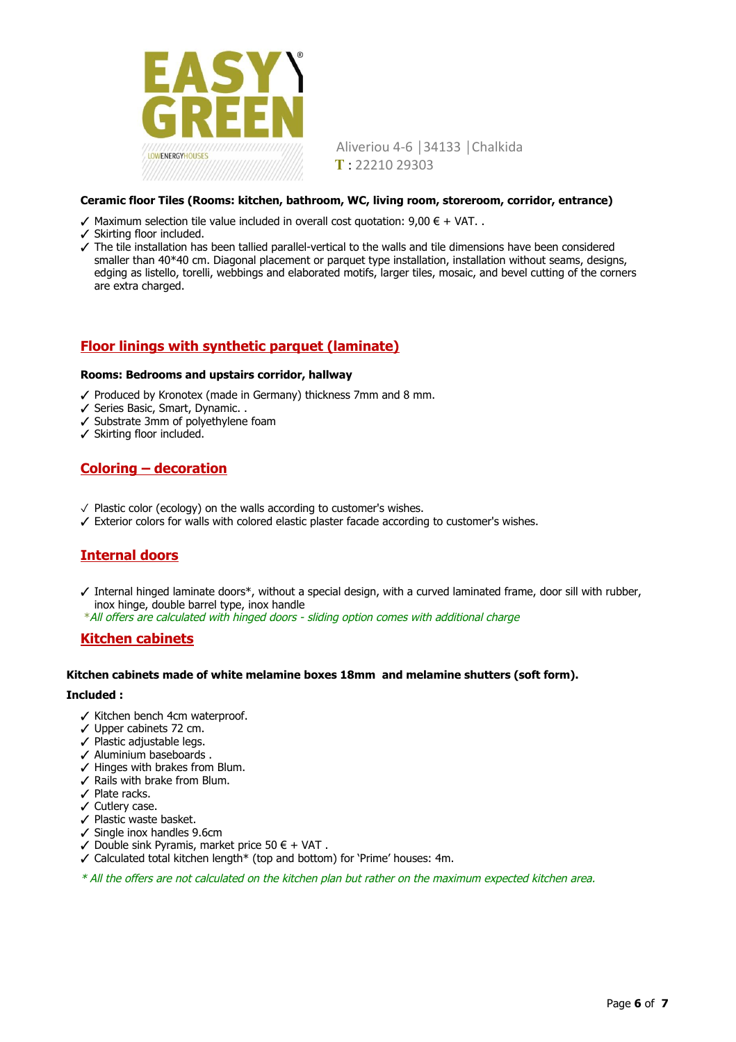

### **Ceramic floor Tiles (Rooms: kitchen, bathroom, WC, living room, storeroom, corridor, entrance)**

- $\checkmark$  Maximum selection tile value included in overall cost quotation: 9,00 € + VAT. .
- ✓ Skirting floor included.
- ✓ The tile installation has been tallied parallel-vertical to the walls and tile dimensions have been considered smaller than 40\*40 cm. Diagonal placement or parquet type installation, installation without seams, designs, edging as listello, torelli, webbings and elaborated motifs, larger tiles, mosaic, and bevel cutting of the corners are extra charged.

## **Floor linings with synthetic parquet (laminate)**

#### **Rooms: Bedrooms and upstairs corridor, hallway**

- ✓ Produced by Kronotex (made in Germany) thickness 7mm and 8 mm.
- ✓ Series Basic, Smart, Dynamic. .
- ✓ Substrate 3mm of polyethylene foam
- ✓ Skirting floor included.

## **Coloring – decoration**

- ✓ Plastic color (ecology) on the walls according to customer's wishes.
- ✓ Exterior colors for walls with colored elastic plaster facade according to customer's wishes.

## **Internal doors**

- ✓ Internal hinged laminate doors\*, without a special design, with a curved laminated frame, door sill with rubber, inox hinge, double barrel type, inox handle
- \* All offers are calculated with hinged doors sliding option comes with additional charge

## **Kitchen cabinets**

#### **Kitchen cabinets made of white melamine boxes 18mm and melamine shutters (soft form).**

#### **Included :**

- ✓ Kitchen bench 4cm waterproof.
- ✓ Upper cabinets 72 cm.
- ✓ Plastic adjustable legs.
- ✓ Aluminium baseboards .
- ✓ Hinges with brakes from Blum.
- $\checkmark$  Rails with brake from Blum.
- ✓ Plate racks.
- ✓ Cutlery case.
- ✓ Plastic waste basket.
- ✓ Single inox handles 9.6cm
- ✓ Double sink Pyramis, market price 50 € + VAT .
- ✓ Calculated total kitchen length\* (top and bottom) for 'Prime' houses: 4m.
- \* All the offers are not calculated on the kitchen plan but rather on the maximum expected kitchen area.